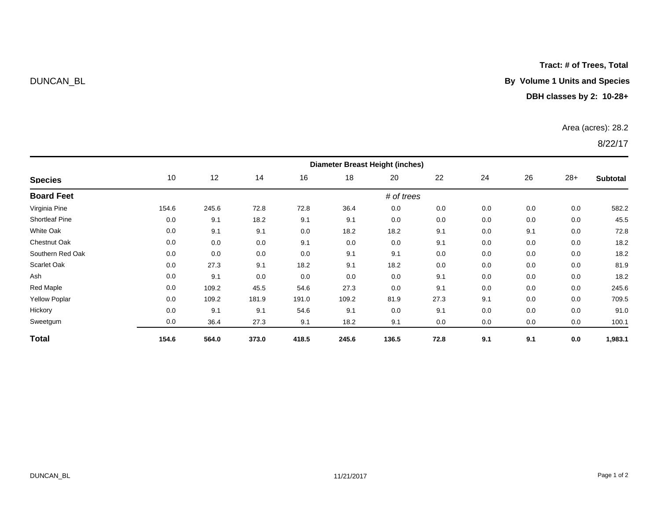**Tract: # of Trees, Total**

# DUNCAN\_BL **By Volume 1 Units and Species**

## **DBH classes by 2: 10-28+**

### Area (acres): 28.2

| <b>Species</b>       | <b>Diameter Breast Height (inches)</b> |       |       |       |       |            |      |     |     |       |                 |
|----------------------|----------------------------------------|-------|-------|-------|-------|------------|------|-----|-----|-------|-----------------|
|                      | 10                                     | 12    | 14    | 16    | 18    | 20         | 22   | 24  | 26  | $28+$ | <b>Subtotal</b> |
| <b>Board Feet</b>    |                                        |       |       |       |       | # of trees |      |     |     |       |                 |
| Virginia Pine        | 154.6                                  | 245.6 | 72.8  | 72.8  | 36.4  | 0.0        | 0.0  | 0.0 | 0.0 | 0.0   | 582.2           |
| Shortleaf Pine       | 0.0                                    | 9.1   | 18.2  | 9.1   | 9.1   | 0.0        | 0.0  | 0.0 | 0.0 | 0.0   | 45.5            |
| White Oak            | 0.0                                    | 9.1   | 9.1   | 0.0   | 18.2  | 18.2       | 9.1  | 0.0 | 9.1 | 0.0   | 72.8            |
| <b>Chestnut Oak</b>  | 0.0                                    | 0.0   | 0.0   | 9.1   | 0.0   | 0.0        | 9.1  | 0.0 | 0.0 | 0.0   | 18.2            |
| Southern Red Oak     | 0.0                                    | 0.0   | 0.0   | 0.0   | 9.1   | 9.1        | 0.0  | 0.0 | 0.0 | 0.0   | 18.2            |
| Scarlet Oak          | 0.0                                    | 27.3  | 9.1   | 18.2  | 9.1   | 18.2       | 0.0  | 0.0 | 0.0 | 0.0   | 81.9            |
| Ash                  | 0.0                                    | 9.1   | 0.0   | 0.0   | 0.0   | 0.0        | 9.1  | 0.0 | 0.0 | 0.0   | 18.2            |
| Red Maple            | 0.0                                    | 109.2 | 45.5  | 54.6  | 27.3  | 0.0        | 9.1  | 0.0 | 0.0 | 0.0   | 245.6           |
| <b>Yellow Poplar</b> | 0.0                                    | 109.2 | 181.9 | 191.0 | 109.2 | 81.9       | 27.3 | 9.1 | 0.0 | 0.0   | 709.5           |
| Hickory              | 0.0                                    | 9.1   | 9.1   | 54.6  | 9.1   | 0.0        | 9.1  | 0.0 | 0.0 | 0.0   | 91.0            |
| Sweetgum             | 0.0                                    | 36.4  | 27.3  | 9.1   | 18.2  | 9.1        | 0.0  | 0.0 | 0.0 | 0.0   | 100.1           |
| <b>Total</b>         | 154.6                                  | 564.0 | 373.0 | 418.5 | 245.6 | 136.5      | 72.8 | 9.1 | 9.1 | 0.0   | 1,983.1         |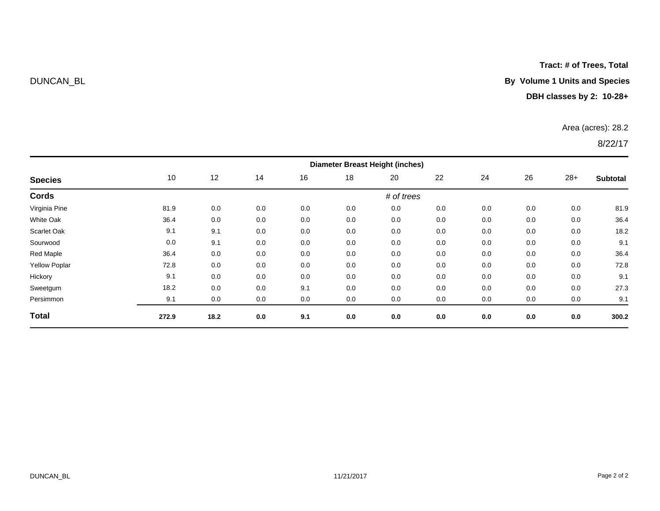## **Tract: # of Trees, Total**

## DUNCAN\_BL **By Volume 1 Units and Species**

## **DBH classes by 2: 10-28+**

### Area (acres): 28.2

|                      | <b>Diameter Breast Height (inches)</b> |      |     |     |     |            |     |     |     |       |                 |
|----------------------|----------------------------------------|------|-----|-----|-----|------------|-----|-----|-----|-------|-----------------|
| <b>Species</b>       | 10                                     | 12   | 14  | 16  | 18  | 20         | 22  | 24  | 26  | $28+$ | <b>Subtotal</b> |
| Cords                |                                        |      |     |     |     | # of trees |     |     |     |       |                 |
| Virginia Pine        | 81.9                                   | 0.0  | 0.0 | 0.0 | 0.0 | 0.0        | 0.0 | 0.0 | 0.0 | 0.0   | 81.9            |
| White Oak            | 36.4                                   | 0.0  | 0.0 | 0.0 | 0.0 | 0.0        | 0.0 | 0.0 | 0.0 | 0.0   | 36.4            |
| Scarlet Oak          | 9.1                                    | 9.1  | 0.0 | 0.0 | 0.0 | 0.0        | 0.0 | 0.0 | 0.0 | 0.0   | 18.2            |
| Sourwood             | 0.0                                    | 9.1  | 0.0 | 0.0 | 0.0 | 0.0        | 0.0 | 0.0 | 0.0 | 0.0   | 9.1             |
| Red Maple            | 36.4                                   | 0.0  | 0.0 | 0.0 | 0.0 | 0.0        | 0.0 | 0.0 | 0.0 | 0.0   | 36.4            |
| <b>Yellow Poplar</b> | 72.8                                   | 0.0  | 0.0 | 0.0 | 0.0 | 0.0        | 0.0 | 0.0 | 0.0 | 0.0   | 72.8            |
| Hickory              | 9.1                                    | 0.0  | 0.0 | 0.0 | 0.0 | 0.0        | 0.0 | 0.0 | 0.0 | 0.0   | 9.1             |
| Sweetgum             | 18.2                                   | 0.0  | 0.0 | 9.1 | 0.0 | 0.0        | 0.0 | 0.0 | 0.0 | 0.0   | 27.3            |
| Persimmon            | 9.1                                    | 0.0  | 0.0 | 0.0 | 0.0 | 0.0        | 0.0 | 0.0 | 0.0 | 0.0   | 9.1             |
| <b>Total</b>         | 272.9                                  | 18.2 | 0.0 | 9.1 | 0.0 | 0.0        | 0.0 | 0.0 | 0.0 | 0.0   | 300.2           |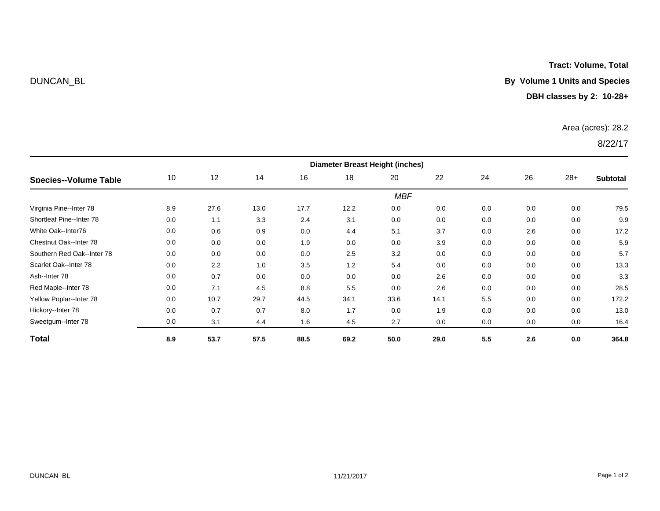**Tract: Volume, Total**

## DUNCAN\_BL **By Volume 1 Units and Species**

## **DBH classes by 2: 10-28+**

### Area (acres): 28.2

|                            | <b>Diameter Breast Height (inches)</b> |      |      |      |      |      |      |     |     |       |          |
|----------------------------|----------------------------------------|------|------|------|------|------|------|-----|-----|-------|----------|
| Species--Volume Table      | 10                                     | 12   | 14   | 16   | 18   | 20   | 22   | 24  | 26  | $28+$ | Subtotal |
|                            | <b>MBF</b>                             |      |      |      |      |      |      |     |     |       |          |
| Virginia Pine--Inter 78    | 8.9                                    | 27.6 | 13.0 | 17.7 | 12.2 | 0.0  | 0.0  | 0.0 | 0.0 | 0.0   | 79.5     |
| Shortleaf Pine--Inter 78   | 0.0                                    | 1.1  | 3.3  | 2.4  | 3.1  | 0.0  | 0.0  | 0.0 | 0.0 | 0.0   | 9.9      |
| White Oak--Inter76         | 0.0                                    | 0.6  | 0.9  | 0.0  | 4.4  | 5.1  | 3.7  | 0.0 | 2.6 | 0.0   | 17.2     |
| Chestnut Oak--Inter 78     | 0.0                                    | 0.0  | 0.0  | 1.9  | 0.0  | 0.0  | 3.9  | 0.0 | 0.0 | 0.0   | 5.9      |
| Southern Red Oak--Inter 78 | 0.0                                    | 0.0  | 0.0  | 0.0  | 2.5  | 3.2  | 0.0  | 0.0 | 0.0 | 0.0   | 5.7      |
| Scarlet Oak--Inter 78      | 0.0                                    | 2.2  | 1.0  | 3.5  | 1.2  | 5.4  | 0.0  | 0.0 | 0.0 | 0.0   | 13.3     |
| Ash--Inter 78              | 0.0                                    | 0.7  | 0.0  | 0.0  | 0.0  | 0.0  | 2.6  | 0.0 | 0.0 | 0.0   | 3.3      |
| Red Maple--Inter 78        | 0.0                                    | 7.1  | 4.5  | 8.8  | 5.5  | 0.0  | 2.6  | 0.0 | 0.0 | 0.0   | 28.5     |
| Yellow Poplar--Inter 78    | 0.0                                    | 10.7 | 29.7 | 44.5 | 34.1 | 33.6 | 14.1 | 5.5 | 0.0 | 0.0   | 172.2    |
| Hickory--Inter 78          | 0.0                                    | 0.7  | 0.7  | 8.0  | 1.7  | 0.0  | 1.9  | 0.0 | 0.0 | 0.0   | 13.0     |
| Sweetgum--Inter 78         | 0.0                                    | 3.1  | 4.4  | 1.6  | 4.5  | 2.7  | 0.0  | 0.0 | 0.0 | 0.0   | 16.4     |
| <b>Total</b>               | 8.9                                    | 53.7 | 57.5 | 88.5 | 69.2 | 50.0 | 29.0 | 5.5 | 2.6 | 0.0   | 364.8    |